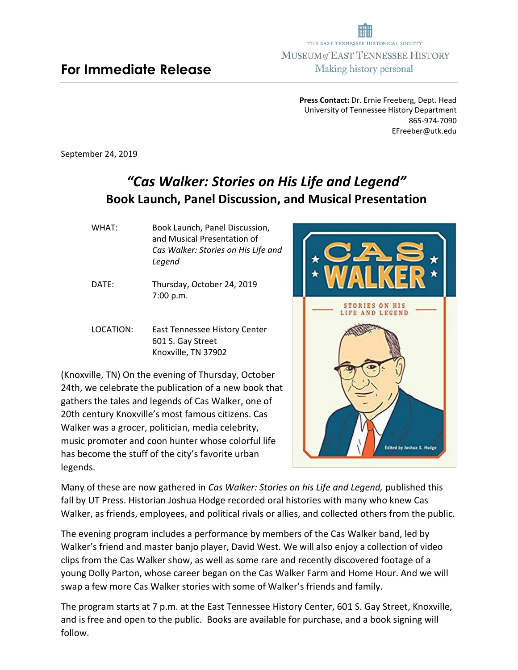**Press Contact:** Dr. Ernie Freeberg, Dept. Head University of Tennessee History Department 865-974-7090 EFreeber@utk.edu

September 24, 2019

## *"Cas Walker: Stories on His Life and Legend"* **Book Launch, Panel Discussion, and Musical Presentation**

- WHAT: Book Launch, Panel Discussion, and Musical Presentation of *Cas Walker: Stories on His Life and Legend*
- DATE: Thursday, October 24, 2019 7:00 p.m.
- LOCATION: East Tennessee History Center 601 S. Gay Street Knoxville, TN 37902

(Knoxville, TN) On the evening of Thursday, October 24th, we celebrate the publication of a new book that gathers the tales and legends of Cas Walker, one of 20th century Knoxville's most famous citizens. Cas Walker was a grocer, politician, media celebrity, music promoter and coon hunter whose colorful life has become the stuff of the city's favorite urban legends.



Many of these are now gathered in *Cas Walker: Stories on his Life and Legend,* published this fall by UT Press. Historian Joshua Hodge recorded oral histories with many who knew Cas Walker, as friends, employees, and political rivals or allies, and collected others from the public.

The evening program includes a performance by members of the Cas Walker band, led by Walker's friend and master banjo player, David West. We will also enjoy a collection of video clips from the Cas Walker show, as well as some rare and recently discovered footage of a young Dolly Parton, whose career began on the Cas Walker Farm and Home Hour. And we will swap a few more Cas Walker stories with some of Walker's friends and family.

The program starts at 7 p.m. at the East Tennessee History Center, 601 S. Gay Street, Knoxville, and is free and open to the public. Books are available for purchase, and a book signing will follow.